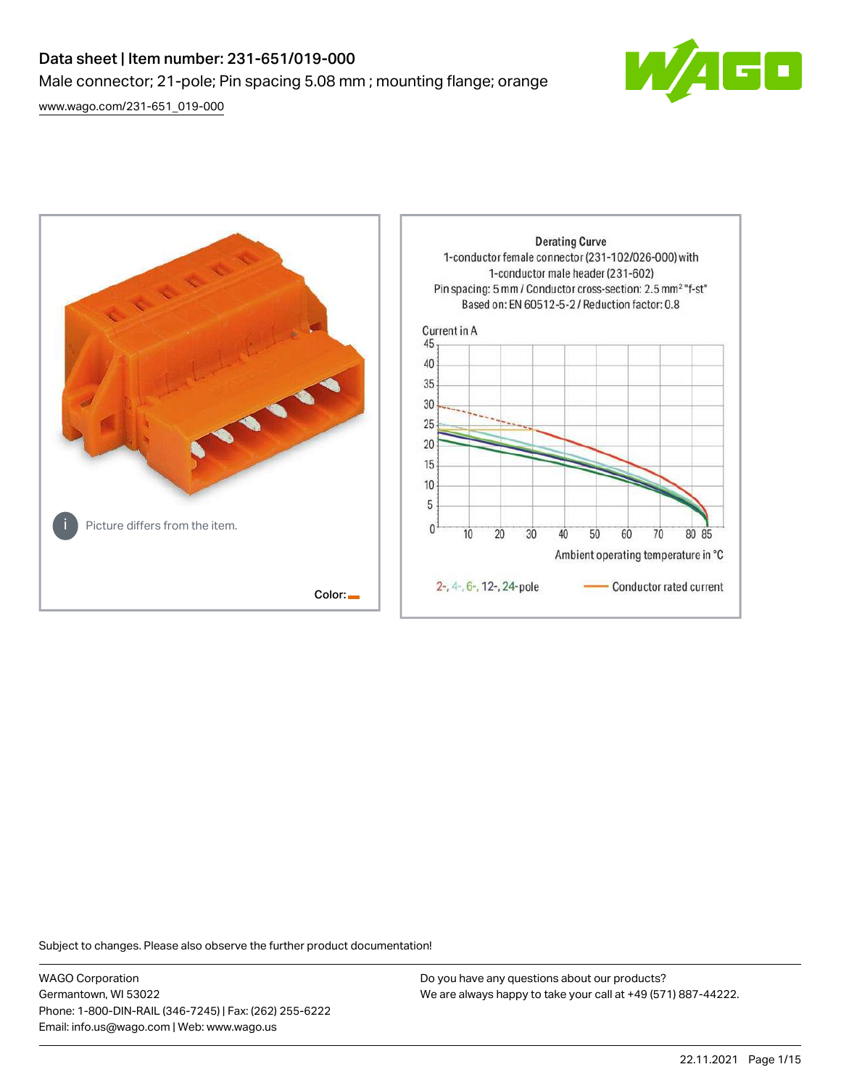# Data sheet | Item number: 231-651/019-000 Male connector; 21-pole; Pin spacing 5.08 mm ; mounting flange; orange

[www.wago.com/231-651\\_019-000](http://www.wago.com/231-651_019-000)





Subject to changes. Please also observe the further product documentation!

WAGO Corporation Germantown, WI 53022 Phone: 1-800-DIN-RAIL (346-7245) | Fax: (262) 255-6222 Email: info.us@wago.com | Web: www.wago.us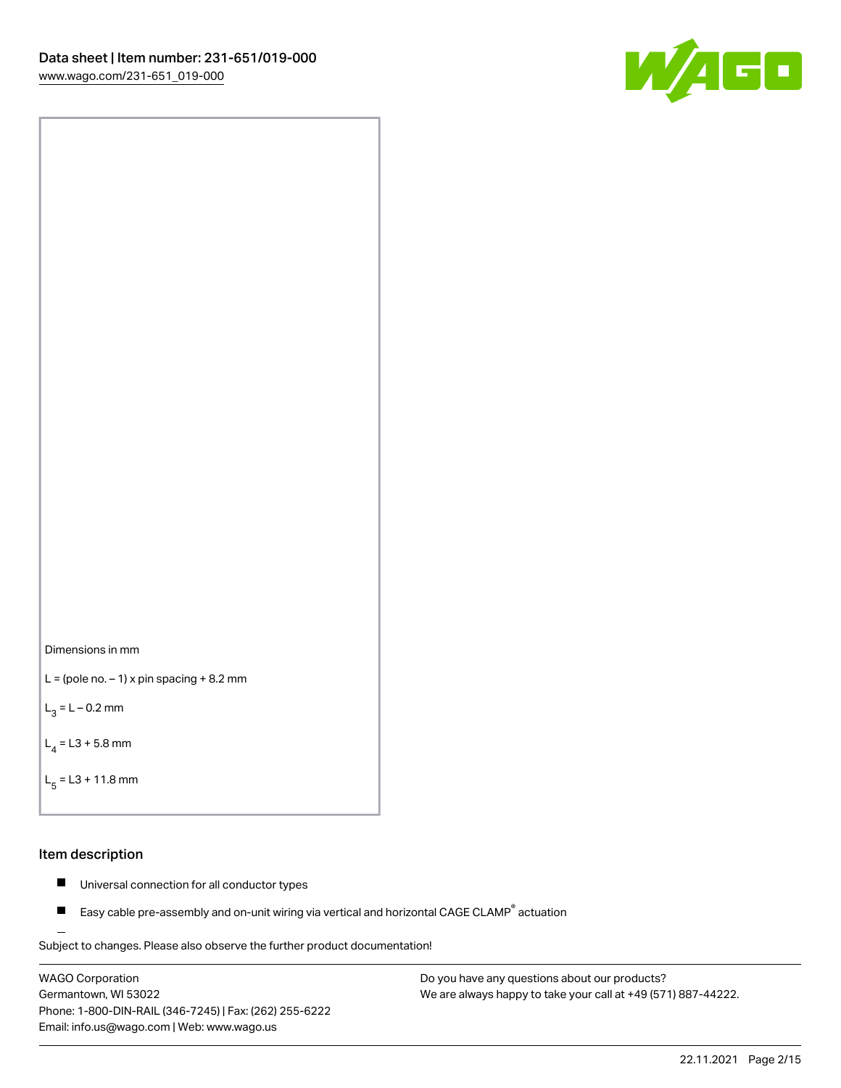



```
L = (pole no. -1) x pin spacing +8.2 mm
```
 $L_3 = L - 0.2$  mm

```
L_4 = L3 + 5.8 mm
```

```
L_{\rm g} = L3 + 11.8 mm
```
### Item description

- $\blacksquare$ Universal connection for all conductor types
- Easy cable pre-assembly and on-unit wiring via vertical and horizontal CAGE CLAMP<sup>®</sup> actuation  $\blacksquare$

Subject to changes. Please also observe the further product documentation! For wire-to-wire and board-to-wire connections

WAGO Corporation Germantown, WI 53022 Phone: 1-800-DIN-RAIL (346-7245) | Fax: (262) 255-6222 Email: info.us@wago.com | Web: www.wago.us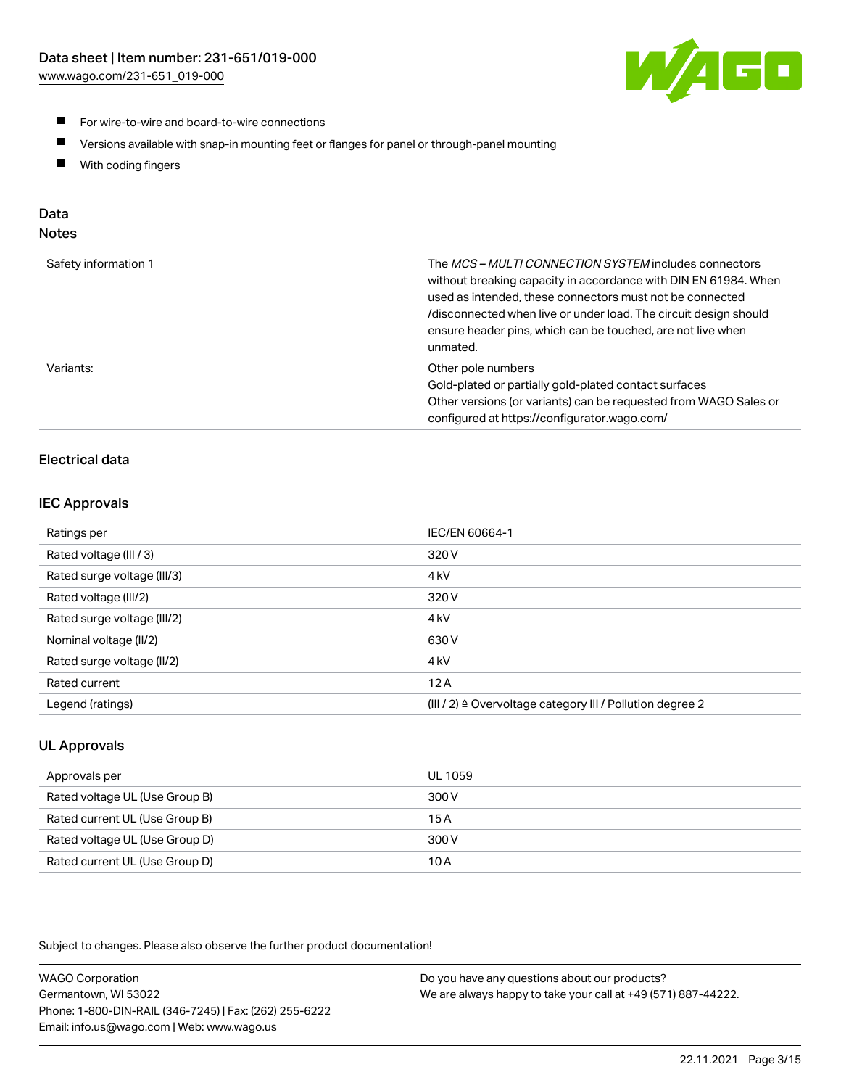

- **For wire-to-wire and board-to-wire connections**
- $\blacksquare$ Versions available with snap-in mounting feet or flanges for panel or through-panel mounting
- $\blacksquare$ With coding fingers

# Data

# Notes

| Safety information 1 | The MCS-MULTI CONNECTION SYSTEM includes connectors<br>without breaking capacity in accordance with DIN EN 61984. When<br>used as intended, these connectors must not be connected<br>/disconnected when live or under load. The circuit design should<br>ensure header pins, which can be touched, are not live when<br>unmated. |
|----------------------|-----------------------------------------------------------------------------------------------------------------------------------------------------------------------------------------------------------------------------------------------------------------------------------------------------------------------------------|
| Variants:            | Other pole numbers<br>Gold-plated or partially gold-plated contact surfaces<br>Other versions (or variants) can be requested from WAGO Sales or<br>configured at https://configurator.wago.com/                                                                                                                                   |

# Electrical data

## IEC Approvals

| Ratings per                 | IEC/EN 60664-1                                                        |
|-----------------------------|-----------------------------------------------------------------------|
| Rated voltage (III / 3)     | 320 V                                                                 |
| Rated surge voltage (III/3) | 4 <sub>k</sub> V                                                      |
| Rated voltage (III/2)       | 320 V                                                                 |
| Rated surge voltage (III/2) | 4 <sub>k</sub> V                                                      |
| Nominal voltage (II/2)      | 630 V                                                                 |
| Rated surge voltage (II/2)  | 4 <sub>k</sub> V                                                      |
| Rated current               | 12A                                                                   |
| Legend (ratings)            | $(III / 2)$ $\triangle$ Overvoltage category III / Pollution degree 2 |

# UL Approvals

| Approvals per                  | UL 1059 |
|--------------------------------|---------|
| Rated voltage UL (Use Group B) | 300 V   |
| Rated current UL (Use Group B) | 15 A    |
| Rated voltage UL (Use Group D) | 300 V   |
| Rated current UL (Use Group D) | 10 A    |

Subject to changes. Please also observe the further product documentation!

| <b>WAGO Corporation</b>                                | Do you have any questions about our products?                 |
|--------------------------------------------------------|---------------------------------------------------------------|
| Germantown, WI 53022                                   | We are always happy to take your call at +49 (571) 887-44222. |
| Phone: 1-800-DIN-RAIL (346-7245)   Fax: (262) 255-6222 |                                                               |
| Email: info.us@wago.com   Web: www.wago.us             |                                                               |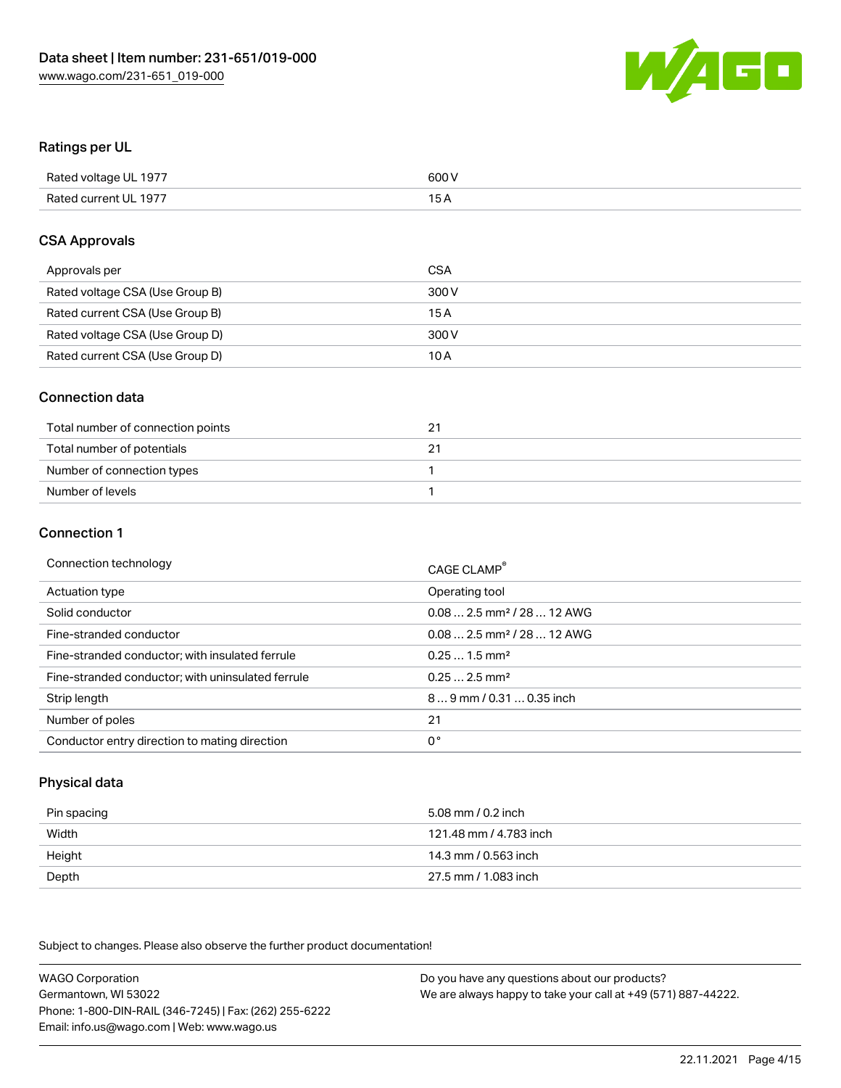

### Ratings per UL

| Rated voltage UL 1977 | 600 V |
|-----------------------|-------|
| Rated current UL 1977 | 1 E   |

#### CSA Approvals

| Approvals per                   | CSA   |
|---------------------------------|-------|
| Rated voltage CSA (Use Group B) | 300 V |
| Rated current CSA (Use Group B) | 15 A  |
| Rated voltage CSA (Use Group D) | 300 V |
| Rated current CSA (Use Group D) | 10 A  |

### Connection data

| Total number of connection points | 2. |
|-----------------------------------|----|
| Total number of potentials        |    |
| Number of connection types        |    |
| Number of levels                  |    |

#### Connection 1

| Connection technology                             | CAGE CLAMP <sup>®</sup>                 |
|---------------------------------------------------|-----------------------------------------|
| Actuation type                                    | Operating tool                          |
| Solid conductor                                   | $0.082.5$ mm <sup>2</sup> / 28  12 AWG  |
| Fine-stranded conductor                           | $0.08$ 2.5 mm <sup>2</sup> / 28  12 AWG |
| Fine-stranded conductor; with insulated ferrule   | $0.251.5$ mm <sup>2</sup>               |
| Fine-stranded conductor; with uninsulated ferrule | $0.252.5$ mm <sup>2</sup>               |
| Strip length                                      | 89 mm / 0.31  0.35 inch                 |
| Number of poles                                   | 21                                      |
| Conductor entry direction to mating direction     | 0°                                      |

## Physical data

| Pin spacing | 5.08 mm / 0.2 inch     |
|-------------|------------------------|
| Width       | 121.48 mm / 4.783 inch |
| Height      | 14.3 mm / 0.563 inch   |
| Depth       | 27.5 mm / 1.083 inch   |

Subject to changes. Please also observe the further product documentation!

WAGO Corporation Germantown, WI 53022 Phone: 1-800-DIN-RAIL (346-7245) | Fax: (262) 255-6222 Email: info.us@wago.com | Web: www.wago.us Do you have any questions about our products? We are always happy to take your call at +49 (571) 887-44222.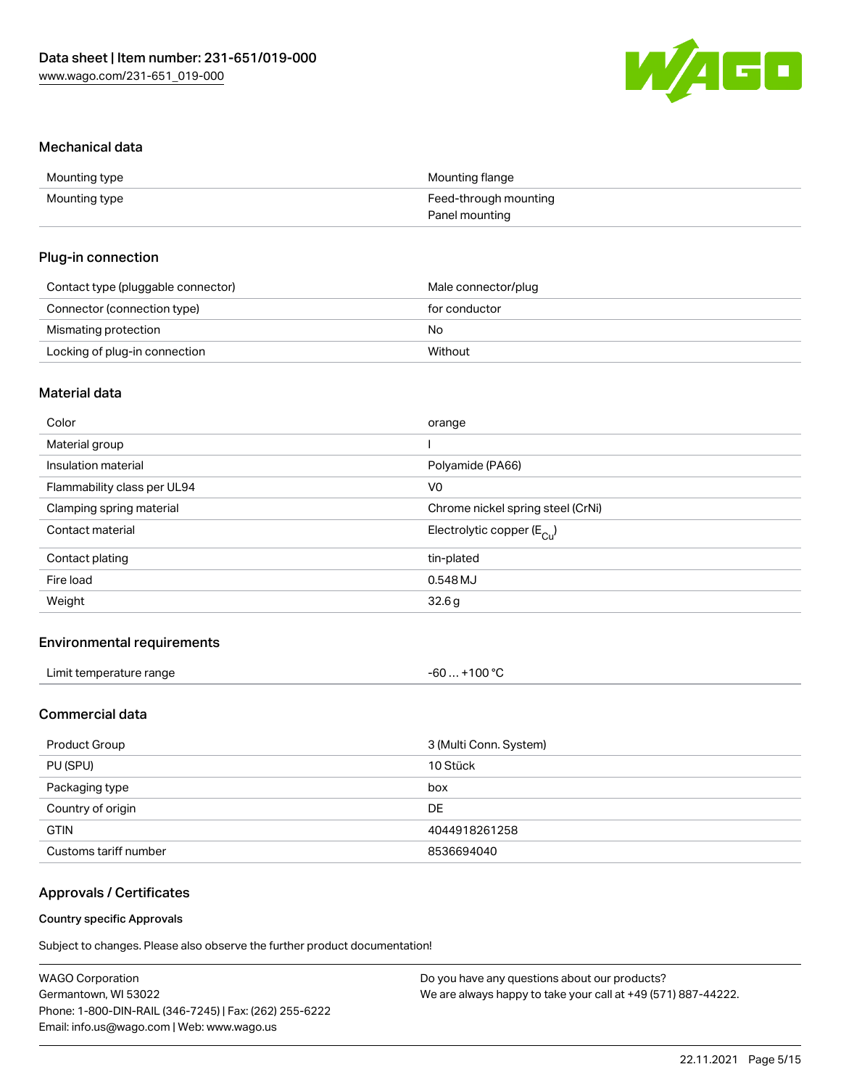

#### Mechanical data

| Mounting type | Mounting flange       |
|---------------|-----------------------|
| Mounting type | Feed-through mounting |
|               | Panel mounting        |

### Plug-in connection

| Contact type (pluggable connector) | Male connector/plug |
|------------------------------------|---------------------|
| Connector (connection type)        | for conductor       |
| Mismating protection               | No                  |
| Locking of plug-in connection      | Without             |

# Material data

| Color                       | orange                                |
|-----------------------------|---------------------------------------|
| Material group              |                                       |
| Insulation material         | Polyamide (PA66)                      |
| Flammability class per UL94 | V <sub>0</sub>                        |
| Clamping spring material    | Chrome nickel spring steel (CrNi)     |
| Contact material            | Electrolytic copper $(E_{\text{Cl}})$ |
| Contact plating             | tin-plated                            |
| Fire load                   | 0.548 MJ                              |
| Weight                      | 32.6g                                 |
|                             |                                       |

## Environmental requirements

| Limit temperature range | +100 $^{\circ}$ C<br>. - 60. - - |  |
|-------------------------|----------------------------------|--|
|-------------------------|----------------------------------|--|

# Commercial data

| Product Group         | 3 (Multi Conn. System) |
|-----------------------|------------------------|
| PU (SPU)              | 10 Stück               |
| Packaging type        | box                    |
| Country of origin     | DE                     |
| <b>GTIN</b>           | 4044918261258          |
| Customs tariff number | 8536694040             |

# Approvals / Certificates

#### Country specific Approvals

Subject to changes. Please also observe the further product documentation!

| <b>WAGO Corporation</b>                                | Do you have any questions about our products?                 |
|--------------------------------------------------------|---------------------------------------------------------------|
| Germantown, WI 53022                                   | We are always happy to take your call at +49 (571) 887-44222. |
| Phone: 1-800-DIN-RAIL (346-7245)   Fax: (262) 255-6222 |                                                               |
| Email: info.us@wago.com   Web: www.wago.us             |                                                               |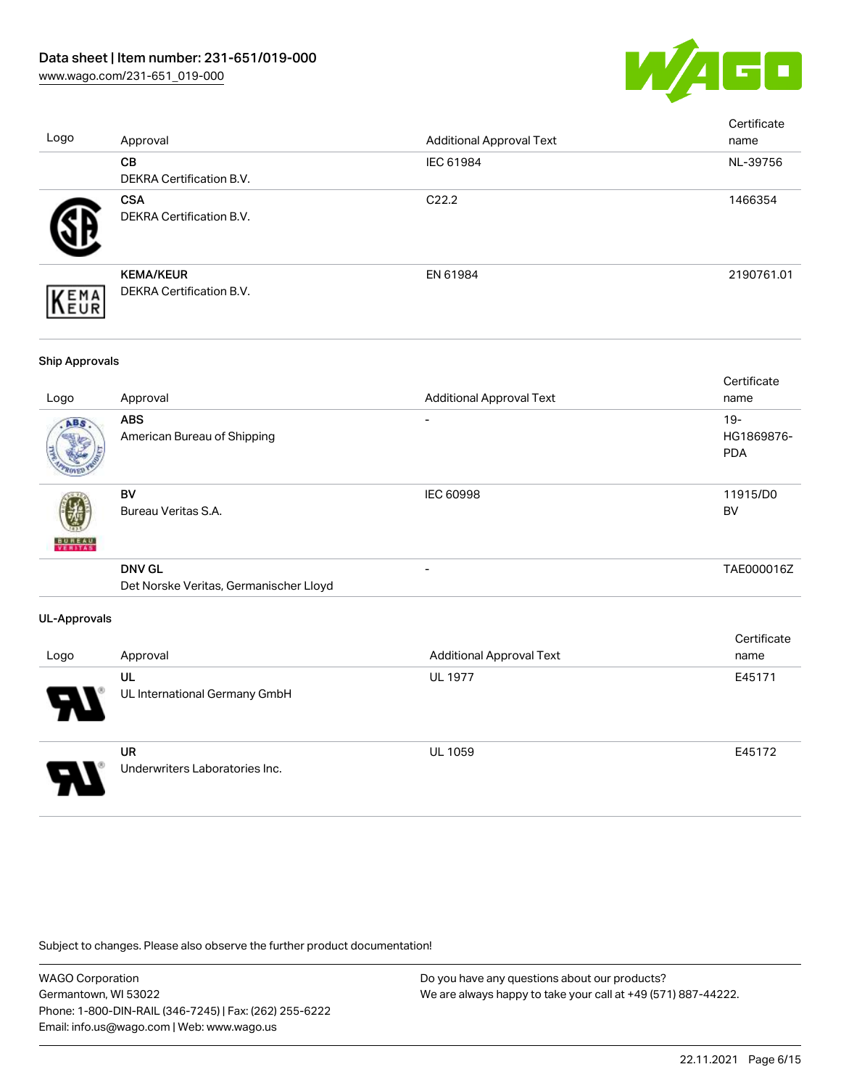

| Logo                  | Approval                                                | <b>Additional Approval Text</b> | Certificate<br>name             |
|-----------------------|---------------------------------------------------------|---------------------------------|---------------------------------|
|                       | CB<br>DEKRA Certification B.V.                          | IEC 61984                       | NL-39756                        |
|                       | <b>CSA</b><br>DEKRA Certification B.V.                  | C22.2                           | 1466354                         |
| EMA<br>EUR            | <b>KEMA/KEUR</b><br>DEKRA Certification B.V.            | EN 61984                        | 2190761.01                      |
| <b>Ship Approvals</b> |                                                         |                                 |                                 |
| Logo                  | Approval                                                | <b>Additional Approval Text</b> | Certificate<br>name             |
| NBK                   | <b>ABS</b><br>American Bureau of Shipping               |                                 | 19-<br>HG1869876-<br><b>PDA</b> |
|                       | <b>BV</b><br>Bureau Veritas S.A.                        | IEC 60998                       | 11915/D0<br><b>BV</b>           |
|                       | <b>DNV GL</b><br>Det Norske Veritas, Germanischer Lloyd |                                 | TAE000016Z                      |
| <b>UL-Approvals</b>   |                                                         |                                 |                                 |
| Logo                  | Approval                                                | <b>Additional Approval Text</b> | Certificate<br>name             |
|                       | UL<br>UL International Germany GmbH                     | <b>UL 1977</b>                  | E45171                          |
|                       | <b>UR</b><br>Underwriters Laboratories Inc.             | <b>UL 1059</b>                  | E45172                          |

Subject to changes. Please also observe the further product documentation!

WAGO Corporation Germantown, WI 53022 Phone: 1-800-DIN-RAIL (346-7245) | Fax: (262) 255-6222 Email: info.us@wago.com | Web: www.wago.us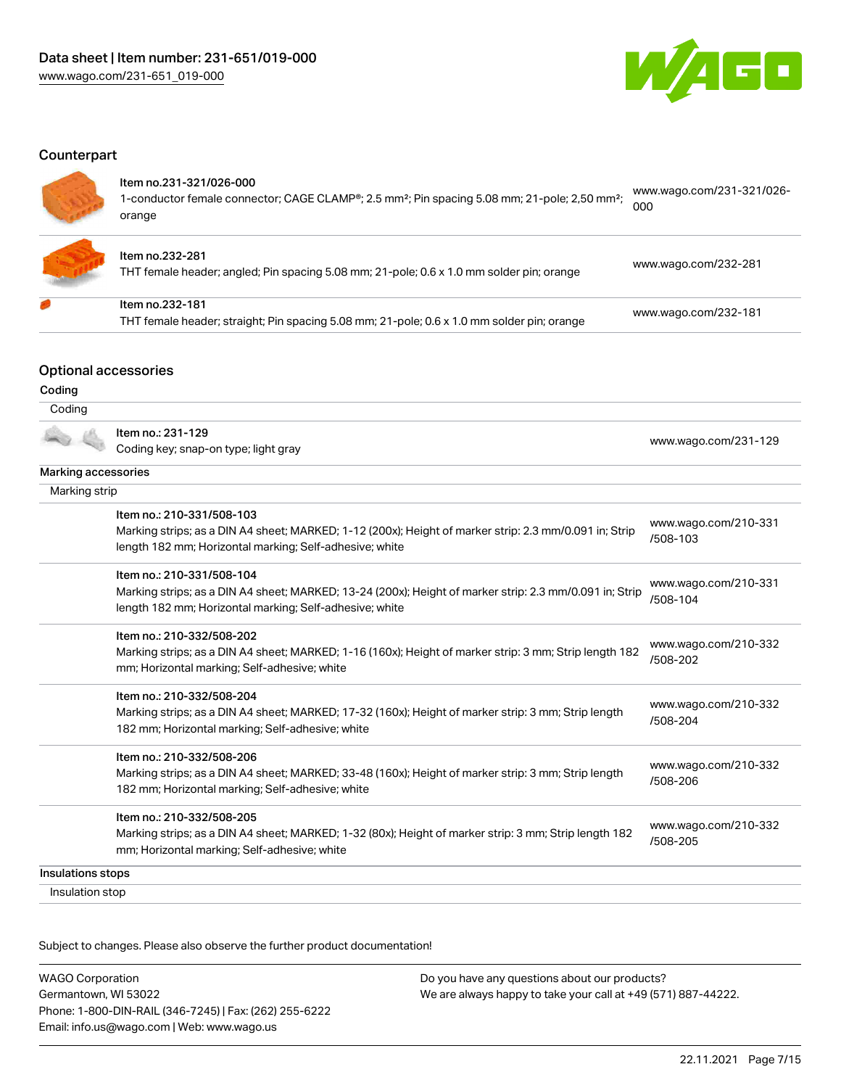

#### **Counterpart**

#### Item no.231-321/026-000

1-conductor female connector; CAGE CLAMP®; 2.5 mm²; Pin spacing 5.08 mm; 21-pole; 2,50 mm²; orange [www.wago.com/231-321/026-](https://www.wago.com/231-321/026-000) [000](https://www.wago.com/231-321/026-000)



#### Item no.232-281

THT female header; angled; Pin spacing 5.08 mm; 21-pole; 0.6 x 1.0 mm solder pin; orange [www.wago.com/232-281](https://www.wago.com/232-281)

| ltem no.232-181                                                                            |                      |
|--------------------------------------------------------------------------------------------|----------------------|
| THT female header; straight; Pin spacing 5.08 mm; 21-pole; 0.6 x 1.0 mm solder pin; orange | www.wago.com/232-181 |

#### Optional accessories

#### Coding Coding Item no.: 231-129 Coding key; snap-on type; light gray [www.wago.com/231-129](http://www.wago.com/231-129) Marking accessories Marking strip Item no.: 210-331/508-103 Marking strips; as a DIN A4 sheet; MARKED; 1-12 (200x); Height of marker strip: 2.3 mm/0.091 in; Strip length 182 mm; Horizontal marking; Self-adhesive; white [www.wago.com/210-331](http://www.wago.com/210-331/508-103) [/508-103](http://www.wago.com/210-331/508-103) Item no.: 210-331/508-104 Marking strips; as a DIN A4 sheet; MARKED; 13-24 (200x); Height of marker strip: 2.3 mm/0.091 in; Strip length 182 mm; Horizontal marking; Self-adhesive; white [www.wago.com/210-331](http://www.wago.com/210-331/508-104) [/508-104](http://www.wago.com/210-331/508-104) Item no.: 210-332/508-202 Marking strips; as a DIN A4 sheet; MARKED; 1-16 (160x); Height of marker strip: 3 mm; Strip length 182 mm; Horizontal marking; Self-adhesive; white [www.wago.com/210-332](http://www.wago.com/210-332/508-202) [/508-202](http://www.wago.com/210-332/508-202) Item no.: 210-332/508-204 Marking strips; as a DIN A4 sheet; MARKED; 17-32 (160x); Height of marker strip: 3 mm; Strip length 182 mm; Horizontal marking; Self-adhesive; white [www.wago.com/210-332](http://www.wago.com/210-332/508-204) [/508-204](http://www.wago.com/210-332/508-204) Item no.: 210-332/508-206 Marking strips; as a DIN A4 sheet; MARKED; 33-48 (160x); Height of marker strip: 3 mm; Strip length 182 mm; Horizontal marking; Self-adhesive; white [www.wago.com/210-332](http://www.wago.com/210-332/508-206) [/508-206](http://www.wago.com/210-332/508-206) Item no.: 210-332/508-205 Marking strips; as a DIN A4 sheet; MARKED; 1-32 (80x); Height of marker strip: 3 mm; Strip length 182 mm; Horizontal marking; Self-adhesive; white [www.wago.com/210-332](http://www.wago.com/210-332/508-205) [/508-205](http://www.wago.com/210-332/508-205) Insulations stops Insulation stop

Subject to changes. Please also observe the further product documentation!

WAGO Corporation Germantown, WI 53022 Phone: 1-800-DIN-RAIL (346-7245) | Fax: (262) 255-6222 Email: info.us@wago.com | Web: www.wago.us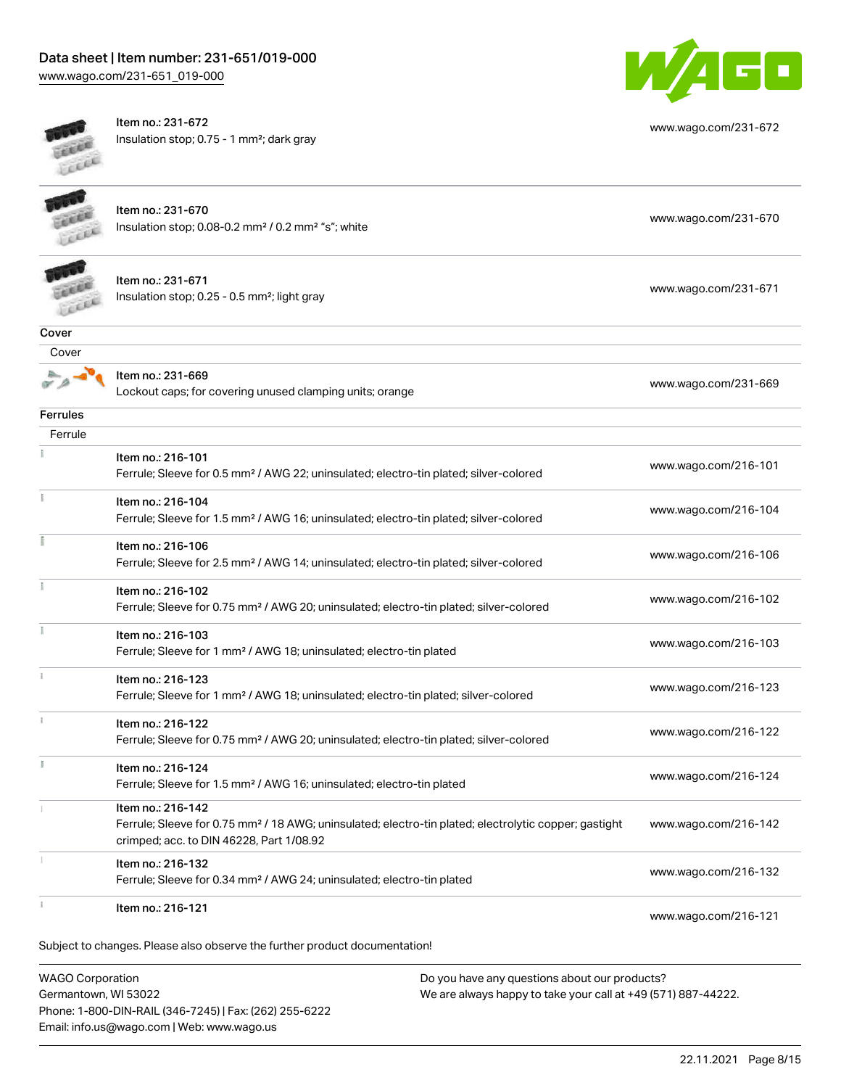# Data sheet | Item number: 231-651/019-000

[www.wago.com/231-651\\_019-000](http://www.wago.com/231-651_019-000)



Item no.: 231-672 Insulation stop; 0.75 - 1 mm²; dark gray



[www.wago.com/231-672](http://www.wago.com/231-672)

| Subject to changes. Please also observe the further product documentation!<br><b>WAGO Corporation</b><br>Do you have any questions about our products? |                                                                                                                                                                                    |                      |
|--------------------------------------------------------------------------------------------------------------------------------------------------------|------------------------------------------------------------------------------------------------------------------------------------------------------------------------------------|----------------------|
| š.                                                                                                                                                     | Item no.: 216-121                                                                                                                                                                  | www.wago.com/216-121 |
|                                                                                                                                                        | Item no.: 216-132<br>Ferrule; Sleeve for 0.34 mm <sup>2</sup> / AWG 24; uninsulated; electro-tin plated                                                                            | www.wago.com/216-132 |
|                                                                                                                                                        | Item no.: 216-142<br>Ferrule; Sleeve for 0.75 mm <sup>2</sup> / 18 AWG; uninsulated; electro-tin plated; electrolytic copper; gastight<br>crimped; acc. to DIN 46228, Part 1/08.92 | www.wago.com/216-142 |
|                                                                                                                                                        | Item no: 216-124<br>Ferrule; Sleeve for 1.5 mm <sup>2</sup> / AWG 16; uninsulated; electro-tin plated                                                                              | www.wago.com/216-124 |
|                                                                                                                                                        | Item no.: 216-122<br>Ferrule; Sleeve for 0.75 mm <sup>2</sup> / AWG 20; uninsulated; electro-tin plated; silver-colored                                                            | www.wago.com/216-122 |
|                                                                                                                                                        | Item no.: 216-123<br>Ferrule; Sleeve for 1 mm <sup>2</sup> / AWG 18; uninsulated; electro-tin plated; silver-colored                                                               | www.wago.com/216-123 |
|                                                                                                                                                        | Item no.: 216-103<br>Ferrule; Sleeve for 1 mm <sup>2</sup> / AWG 18; uninsulated; electro-tin plated                                                                               | www.wago.com/216-103 |
|                                                                                                                                                        | Item no.: 216-102<br>Ferrule; Sleeve for 0.75 mm <sup>2</sup> / AWG 20; uninsulated; electro-tin plated; silver-colored                                                            | www.wago.com/216-102 |
|                                                                                                                                                        | Item no.: 216-106<br>Ferrule; Sleeve for 2.5 mm <sup>2</sup> / AWG 14; uninsulated; electro-tin plated; silver-colored                                                             | www.wago.com/216-106 |
|                                                                                                                                                        | Item no.: 216-104<br>Ferrule; Sleeve for 1.5 mm <sup>2</sup> / AWG 16; uninsulated; electro-tin plated; silver-colored                                                             | www.wago.com/216-104 |
|                                                                                                                                                        | Item no.: 216-101<br>Ferrule; Sleeve for 0.5 mm <sup>2</sup> / AWG 22; uninsulated; electro-tin plated; silver-colored                                                             | www.wago.com/216-101 |
| Ferrule                                                                                                                                                |                                                                                                                                                                                    |                      |
| <b>Ferrules</b>                                                                                                                                        |                                                                                                                                                                                    |                      |
|                                                                                                                                                        | Item no.: 231-669<br>Lockout caps; for covering unused clamping units; orange                                                                                                      | www.wago.com/231-669 |
| Cover<br>Cover                                                                                                                                         |                                                                                                                                                                                    |                      |
|                                                                                                                                                        | Item no.: 231-671<br>Insulation stop; 0.25 - 0.5 mm <sup>2</sup> ; light gray                                                                                                      | www.wago.com/231-671 |
|                                                                                                                                                        | Item no.: 231-670<br>Insulation stop; 0.08-0.2 mm <sup>2</sup> / 0.2 mm <sup>2</sup> "s"; white                                                                                    | www.wago.com/231-670 |
| <b>LEEE</b>                                                                                                                                            |                                                                                                                                                                                    |                      |

WAGO Corporation Germantown, WI 53022 Phone: 1-800-DIN-RAIL (346-7245) | Fax: (262) 255-6222 Email: info.us@wago.com | Web: www.wago.us

 $a$  any questions about  $\alpha$ We are always happy to take your call at +49 (571) 887-44222.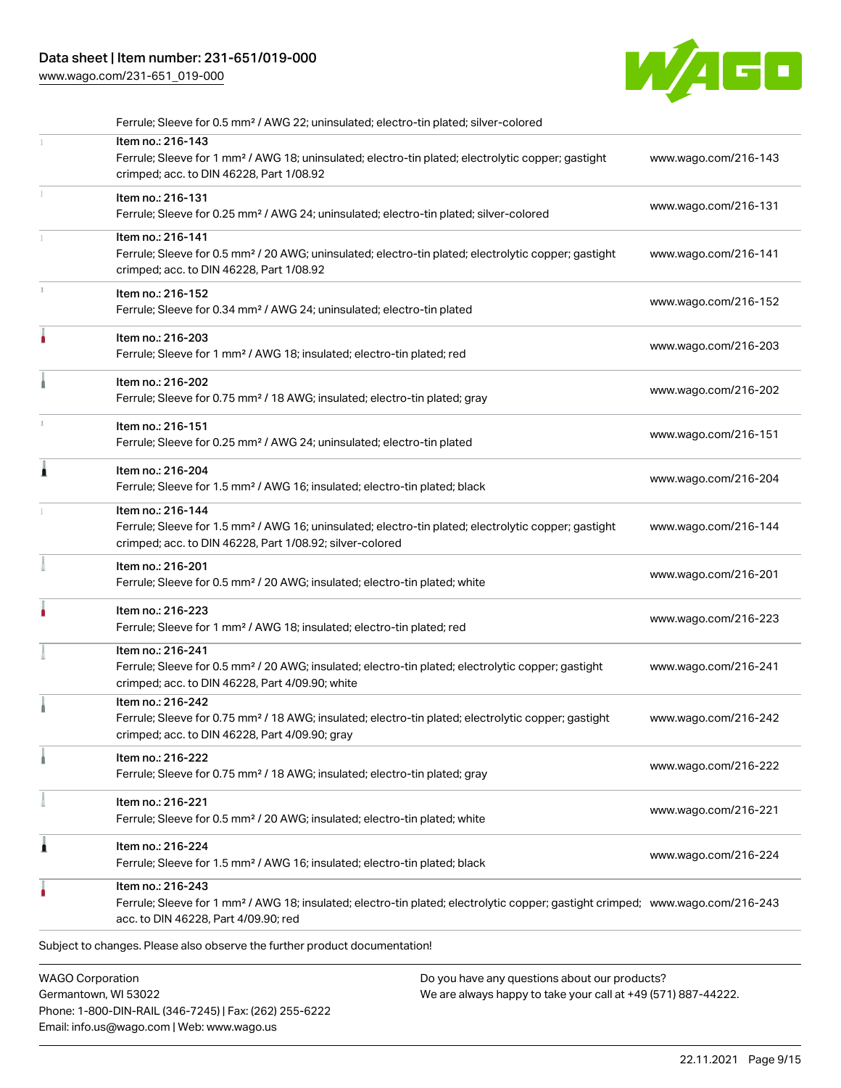# Data sheet | Item number: 231-651/019-000

[www.wago.com/231-651\\_019-000](http://www.wago.com/231-651_019-000)



| Subject to changes. Please also observe the further product documentation!                                                                                                                              |                                                                                                   |
|---------------------------------------------------------------------------------------------------------------------------------------------------------------------------------------------------------|---------------------------------------------------------------------------------------------------|
| Item no.: 216-243<br>Ferrule; Sleeve for 1 mm <sup>2</sup> / AWG 18; insulated; electro-tin plated; electrolytic copper; gastight crimped; www.wago.com/216-243<br>acc. to DIN 46228, Part 4/09.90; red |                                                                                                   |
| Item no.: 216-224<br>Ferrule; Sleeve for 1.5 mm <sup>2</sup> / AWG 16; insulated; electro-tin plated; black                                                                                             | www.wago.com/216-224                                                                              |
| Item no.: 216-221<br>Ferrule; Sleeve for 0.5 mm <sup>2</sup> / 20 AWG; insulated; electro-tin plated; white                                                                                             | www.wago.com/216-221                                                                              |
| Item no.: 216-222<br>Ferrule; Sleeve for 0.75 mm <sup>2</sup> / 18 AWG; insulated; electro-tin plated; gray                                                                                             | www.wago.com/216-222                                                                              |
| Item no.: 216-242<br>Ferrule; Sleeve for 0.75 mm <sup>2</sup> / 18 AWG; insulated; electro-tin plated; electrolytic copper; gastight<br>crimped; acc. to DIN 46228, Part 4/09.90; gray                  | www.wago.com/216-242                                                                              |
| Item no.: 216-241<br>Ferrule; Sleeve for 0.5 mm <sup>2</sup> / 20 AWG; insulated; electro-tin plated; electrolytic copper; gastight<br>crimped; acc. to DIN 46228, Part 4/09.90; white                  | www.wago.com/216-241                                                                              |
| Item no.: 216-223<br>Ferrule; Sleeve for 1 mm <sup>2</sup> / AWG 18; insulated; electro-tin plated; red                                                                                                 | www.wago.com/216-223                                                                              |
| Item no.: 216-201<br>Ferrule; Sleeve for 0.5 mm <sup>2</sup> / 20 AWG; insulated; electro-tin plated; white                                                                                             | www.wago.com/216-201                                                                              |
| Item no.: 216-144<br>Ferrule; Sleeve for 1.5 mm <sup>2</sup> / AWG 16; uninsulated; electro-tin plated; electrolytic copper; gastight<br>crimped; acc. to DIN 46228, Part 1/08.92; silver-colored       | www.wago.com/216-144                                                                              |
| Item no.: 216-204<br>Ferrule; Sleeve for 1.5 mm <sup>2</sup> / AWG 16; insulated; electro-tin plated; black                                                                                             | www.wago.com/216-204                                                                              |
| Item no.: 216-151<br>Ferrule; Sleeve for 0.25 mm <sup>2</sup> / AWG 24; uninsulated; electro-tin plated                                                                                                 | www.wago.com/216-151                                                                              |
| Item no.: 216-202<br>Ferrule; Sleeve for 0.75 mm <sup>2</sup> / 18 AWG; insulated; electro-tin plated; gray                                                                                             | www.wago.com/216-202                                                                              |
| Item no.: 216-203<br>Ferrule; Sleeve for 1 mm <sup>2</sup> / AWG 18; insulated; electro-tin plated; red                                                                                                 | www.wago.com/216-203                                                                              |
| Item no.: 216-152<br>Ferrule; Sleeve for 0.34 mm <sup>2</sup> / AWG 24; uninsulated; electro-tin plated                                                                                                 | www.wago.com/216-152                                                                              |
| Item no.: 216-141<br>Ferrule; Sleeve for 0.5 mm <sup>2</sup> / 20 AWG; uninsulated; electro-tin plated; electrolytic copper; gastight<br>crimped; acc. to DIN 46228, Part 1/08.92                       | www.wago.com/216-141                                                                              |
| Item no.: 216-131<br>Ferrule; Sleeve for 0.25 mm <sup>2</sup> / AWG 24; uninsulated; electro-tin plated; silver-colored                                                                                 | www.wago.com/216-131                                                                              |
| Item no.: 216-143<br>Ferrule; Sleeve for 1 mm <sup>2</sup> / AWG 18; uninsulated; electro-tin plated; electrolytic copper; gastight<br>crimped; acc. to DIN 46228, Part 1/08.92                         | www.wago.com/216-143                                                                              |
|                                                                                                                                                                                                         | Ferrule; Sleeve for 0.5 mm <sup>2</sup> / AWG 22; uninsulated; electro-tin plated; silver-colored |

Germantown, WI 53022 Phone: 1-800-DIN-RAIL (346-7245) | Fax: (262) 255-6222 Email: info.us@wago.com | Web: www.wago.us

We are always happy to take your call at +49 (571) 887-44222.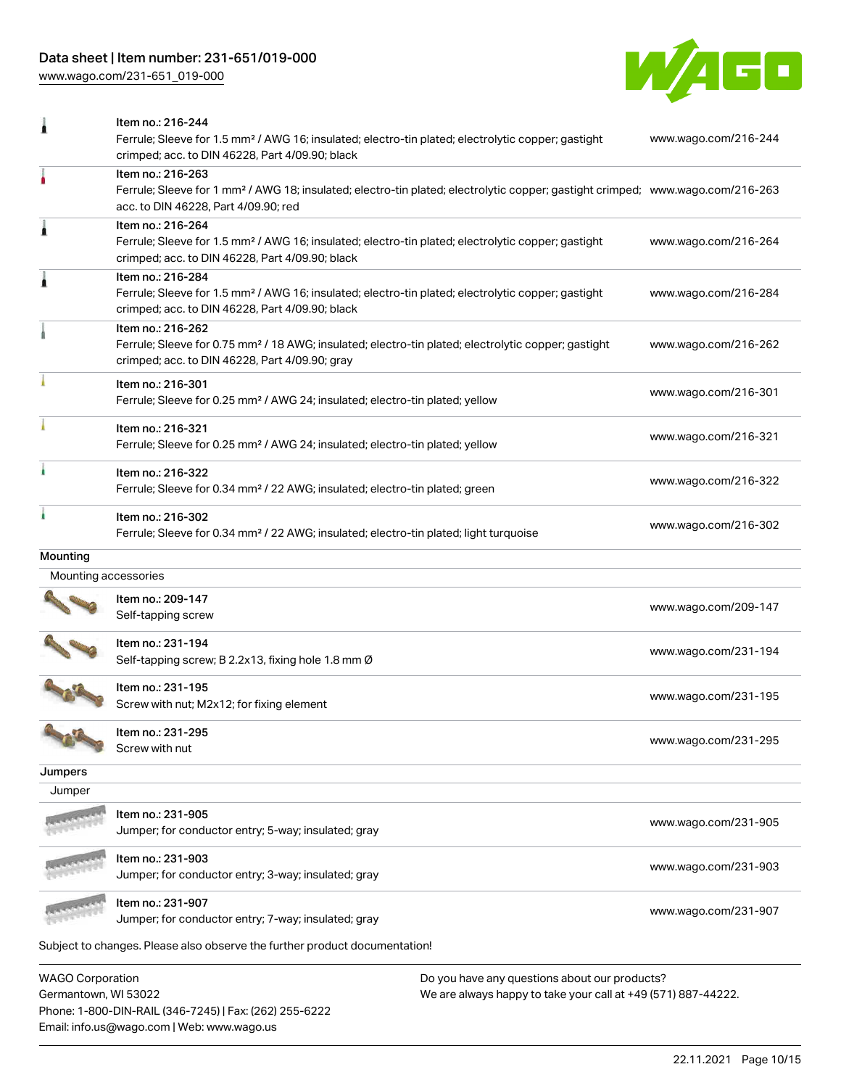# Data sheet | Item number: 231-651/019-000

[www.wago.com/231-651\\_019-000](http://www.wago.com/231-651_019-000)



| 1                       | Item no.: 216-244<br>Ferrule; Sleeve for 1.5 mm <sup>2</sup> / AWG 16; insulated; electro-tin plated; electrolytic copper; gastight<br>crimped; acc. to DIN 46228, Part 4/09.90; black                  | www.wago.com/216-244 |
|-------------------------|---------------------------------------------------------------------------------------------------------------------------------------------------------------------------------------------------------|----------------------|
| ۸                       | Item no.: 216-263<br>Ferrule; Sleeve for 1 mm <sup>2</sup> / AWG 18; insulated; electro-tin plated; electrolytic copper; gastight crimped; www.wago.com/216-263<br>acc. to DIN 46228, Part 4/09.90; red |                      |
| Â                       | Item no.: 216-264<br>Ferrule; Sleeve for 1.5 mm <sup>2</sup> / AWG 16; insulated; electro-tin plated; electrolytic copper; gastight<br>crimped; acc. to DIN 46228, Part 4/09.90; black                  | www.wago.com/216-264 |
| 1                       | Item no.: 216-284<br>Ferrule; Sleeve for 1.5 mm <sup>2</sup> / AWG 16; insulated; electro-tin plated; electrolytic copper; gastight<br>crimped; acc. to DIN 46228, Part 4/09.90; black                  | www.wago.com/216-284 |
|                         | Item no.: 216-262<br>Ferrule; Sleeve for 0.75 mm <sup>2</sup> / 18 AWG; insulated; electro-tin plated; electrolytic copper; gastight<br>crimped; acc. to DIN 46228, Part 4/09.90; gray                  | www.wago.com/216-262 |
|                         | Item no.: 216-301<br>Ferrule; Sleeve for 0.25 mm <sup>2</sup> / AWG 24; insulated; electro-tin plated; yellow                                                                                           | www.wago.com/216-301 |
|                         | Item no.: 216-321<br>Ferrule; Sleeve for 0.25 mm <sup>2</sup> / AWG 24; insulated; electro-tin plated; yellow                                                                                           | www.wago.com/216-321 |
|                         | Item no.: 216-322<br>Ferrule; Sleeve for 0.34 mm <sup>2</sup> / 22 AWG; insulated; electro-tin plated; green                                                                                            | www.wago.com/216-322 |
| ٠                       | Item no.: 216-302<br>Ferrule; Sleeve for 0.34 mm <sup>2</sup> / 22 AWG; insulated; electro-tin plated; light turquoise                                                                                  | www.wago.com/216-302 |
| Mounting                |                                                                                                                                                                                                         |                      |
| Mounting accessories    |                                                                                                                                                                                                         |                      |
|                         | Item no.: 209-147<br>Self-tapping screw                                                                                                                                                                 | www.wago.com/209-147 |
|                         | Item no.: 231-194<br>Self-tapping screw; B 2.2x13, fixing hole 1.8 mm Ø                                                                                                                                 | www.wago.com/231-194 |
|                         | Item no.: 231-195<br>Screw with nut; M2x12; for fixing element                                                                                                                                          | www.wago.com/231-195 |
|                         | Item no.: 231-295<br>Screw with nut                                                                                                                                                                     | www.wago.com/231-295 |
| Jumpers                 |                                                                                                                                                                                                         |                      |
| Jumper                  |                                                                                                                                                                                                         |                      |
|                         | ltem no.: 231-905<br>Jumper; for conductor entry; 5-way; insulated; gray                                                                                                                                | www.wago.com/231-905 |
|                         | Item no.: 231-903<br>Jumper; for conductor entry; 3-way; insulated; gray                                                                                                                                | www.wago.com/231-903 |
|                         | Item no.: 231-907<br>Jumper; for conductor entry; 7-way; insulated; gray                                                                                                                                | www.wago.com/231-907 |
|                         | Subject to changes. Please also observe the further product documentation!                                                                                                                              |                      |
| <b>WAGO Corporation</b> | Do you have any questions about our products?                                                                                                                                                           |                      |

Germantown, WI 53022 Phone: 1-800-DIN-RAIL (346-7245) | Fax: (262) 255-6222 Email: info.us@wago.com | Web: www.wago.us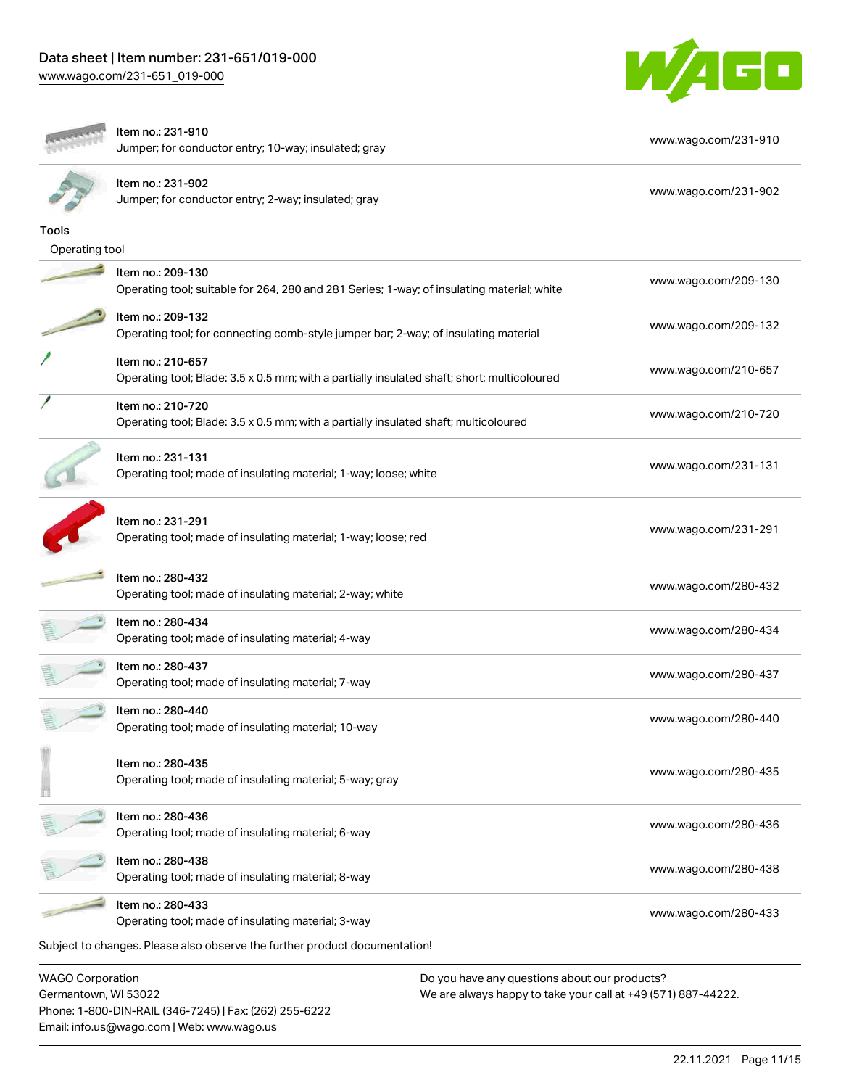Email: info.us@wago.com | Web: www.wago.us

[www.wago.com/231-651\\_019-000](http://www.wago.com/231-651_019-000)



|                                                 | ltem no.: 231-910<br>Jumper; for conductor entry; 10-way; insulated; gray                                        |                                                                                                                | www.wago.com/231-910 |
|-------------------------------------------------|------------------------------------------------------------------------------------------------------------------|----------------------------------------------------------------------------------------------------------------|----------------------|
|                                                 | ltem no.: 231-902<br>Jumper; for conductor entry; 2-way; insulated; gray                                         |                                                                                                                | www.wago.com/231-902 |
| Tools                                           |                                                                                                                  |                                                                                                                |                      |
| Operating tool                                  |                                                                                                                  |                                                                                                                |                      |
|                                                 | Item no.: 209-130<br>Operating tool; suitable for 264, 280 and 281 Series; 1-way; of insulating material; white  |                                                                                                                | www.wago.com/209-130 |
|                                                 | Item no.: 209-132<br>Operating tool; for connecting comb-style jumper bar; 2-way; of insulating material         |                                                                                                                | www.wago.com/209-132 |
|                                                 | Item no.: 210-657<br>Operating tool; Blade: 3.5 x 0.5 mm; with a partially insulated shaft; short; multicoloured |                                                                                                                | www.wago.com/210-657 |
|                                                 | Item no.: 210-720<br>Operating tool; Blade: 3.5 x 0.5 mm; with a partially insulated shaft; multicoloured        |                                                                                                                | www.wago.com/210-720 |
|                                                 | Item no.: 231-131<br>Operating tool; made of insulating material; 1-way; loose; white                            |                                                                                                                | www.wago.com/231-131 |
|                                                 | Item no.: 231-291<br>Operating tool; made of insulating material; 1-way; loose; red                              |                                                                                                                | www.wago.com/231-291 |
|                                                 | Item no.: 280-432<br>Operating tool; made of insulating material; 2-way; white                                   |                                                                                                                | www.wago.com/280-432 |
|                                                 | ltem no.: 280-434<br>Operating tool; made of insulating material; 4-way                                          |                                                                                                                | www.wago.com/280-434 |
|                                                 | Item no.: 280-437<br>Operating tool; made of insulating material; 7-way                                          |                                                                                                                | www.wago.com/280-437 |
|                                                 | Item no.: 280-440<br>Operating tool; made of insulating material; 10-way                                         |                                                                                                                | www.wago.com/280-440 |
|                                                 | Item no.: 280-435<br>Operating tool; made of insulating material; 5-way; gray                                    |                                                                                                                | www.wago.com/280-435 |
|                                                 | Item no.: 280-436<br>Operating tool; made of insulating material; 6-way                                          |                                                                                                                | www.wago.com/280-436 |
|                                                 | Item no.: 280-438<br>Operating tool; made of insulating material; 8-way                                          |                                                                                                                | www.wago.com/280-438 |
|                                                 | Item no.: 280-433<br>Operating tool; made of insulating material; 3-way                                          |                                                                                                                | www.wago.com/280-433 |
|                                                 | Subject to changes. Please also observe the further product documentation!                                       |                                                                                                                |                      |
| <b>WAGO Corporation</b><br>Germantown, WI 53022 | Phone: 1-800-DIN-RAIL (346-7245)   Fax: (262) 255-6222                                                           | Do you have any questions about our products?<br>We are always happy to take your call at +49 (571) 887-44222. |                      |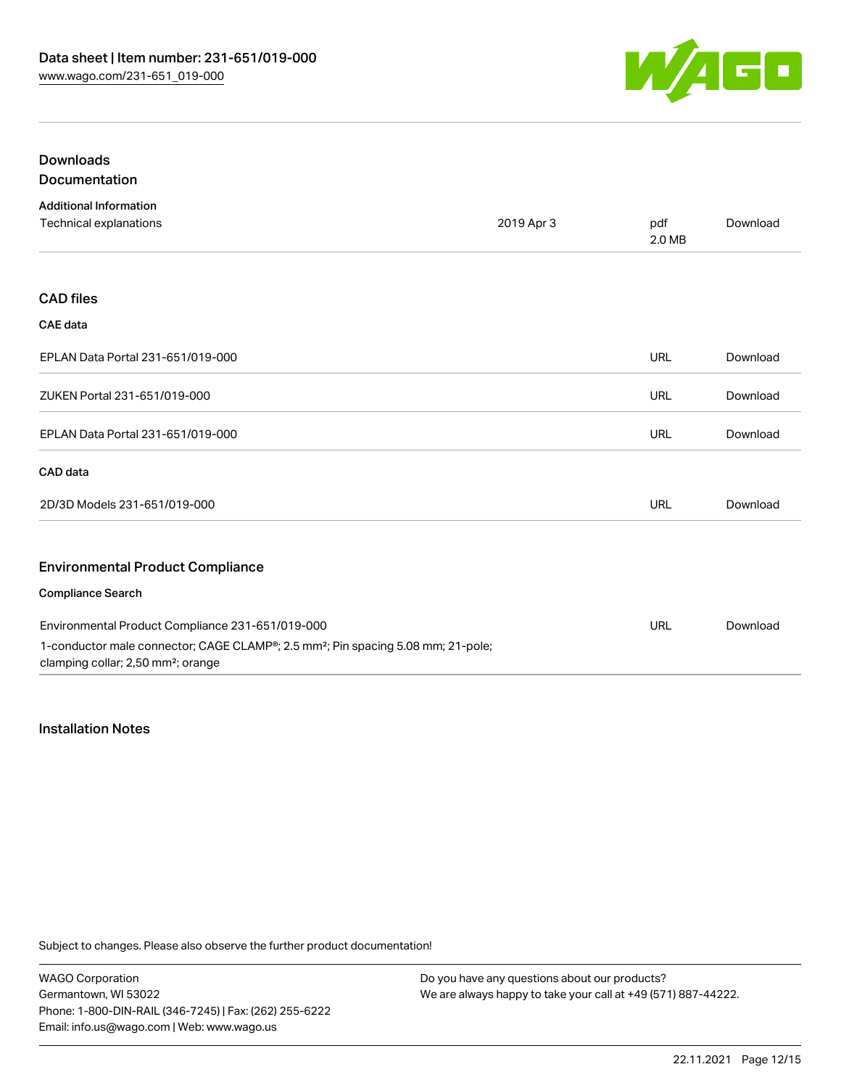

# Downloads Documentation

| <b>Additional Information</b>                                                                                                                  |            |               |          |
|------------------------------------------------------------------------------------------------------------------------------------------------|------------|---------------|----------|
| Technical explanations                                                                                                                         | 2019 Apr 3 | pdf<br>2.0 MB | Download |
|                                                                                                                                                |            |               |          |
| <b>CAD files</b>                                                                                                                               |            |               |          |
| <b>CAE</b> data                                                                                                                                |            |               |          |
| EPLAN Data Portal 231-651/019-000                                                                                                              |            | <b>URL</b>    | Download |
| ZUKEN Portal 231-651/019-000                                                                                                                   |            | URL           | Download |
| EPLAN Data Portal 231-651/019-000                                                                                                              |            | <b>URL</b>    | Download |
| CAD data                                                                                                                                       |            |               |          |
| 2D/3D Models 231-651/019-000                                                                                                                   |            | <b>URL</b>    | Download |
|                                                                                                                                                |            |               |          |
| <b>Environmental Product Compliance</b>                                                                                                        |            |               |          |
| <b>Compliance Search</b>                                                                                                                       |            |               |          |
| Environmental Product Compliance 231-651/019-000                                                                                               |            | URL           | Download |
| 1-conductor male connector; CAGE CLAMP®; 2.5 mm <sup>2</sup> ; Pin spacing 5.08 mm; 21-pole;<br>clamping collar; 2,50 mm <sup>2</sup> ; orange |            |               |          |

# Installation Notes

Subject to changes. Please also observe the further product documentation!

WAGO Corporation Germantown, WI 53022 Phone: 1-800-DIN-RAIL (346-7245) | Fax: (262) 255-6222 Email: info.us@wago.com | Web: www.wago.us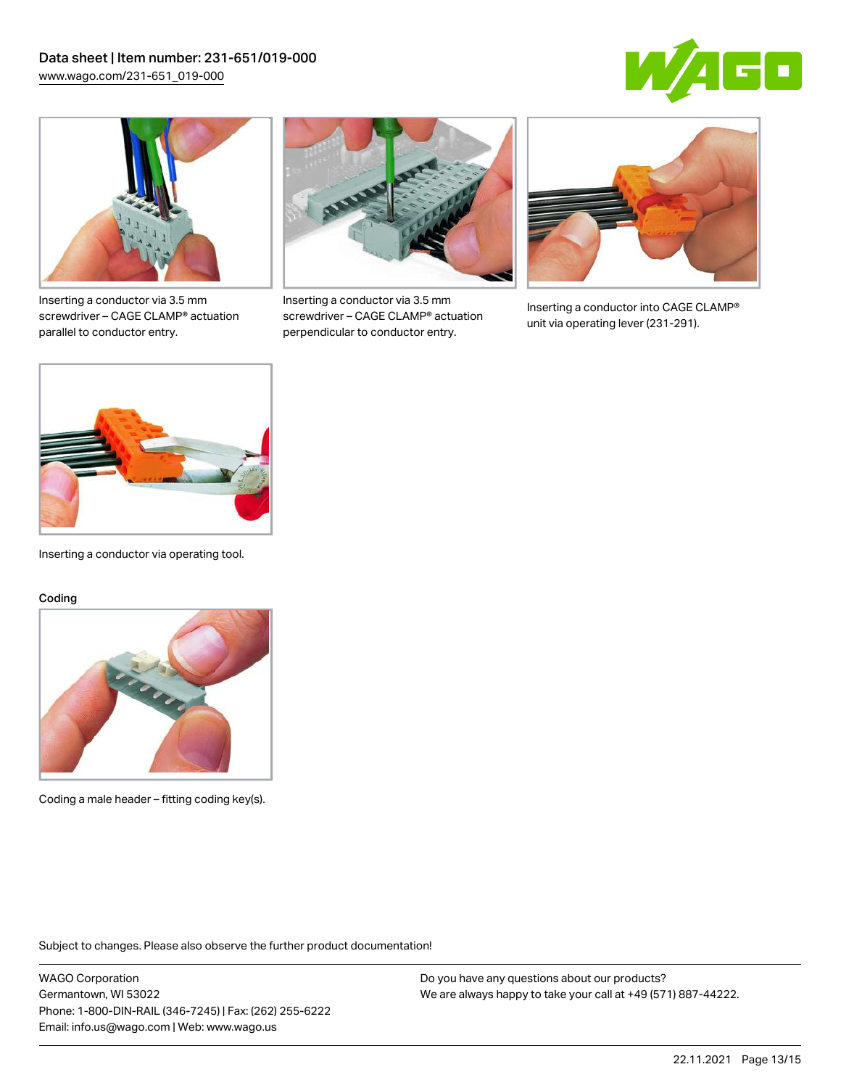



Inserting a conductor via 3.5 mm screwdriver – CAGE CLAMP® actuation parallel to conductor entry.



Inserting a conductor via 3.5 mm screwdriver – CAGE CLAMP® actuation perpendicular to conductor entry.



Inserting a conductor into CAGE CLAMP® unit via operating lever (231-291).



Inserting a conductor via operating tool.

#### Coding



Coding a male header – fitting coding key(s).

Subject to changes. Please also observe the further product documentation!

WAGO Corporation Germantown, WI 53022 Phone: 1-800-DIN-RAIL (346-7245) | Fax: (262) 255-6222 Email: info.us@wago.com | Web: www.wago.us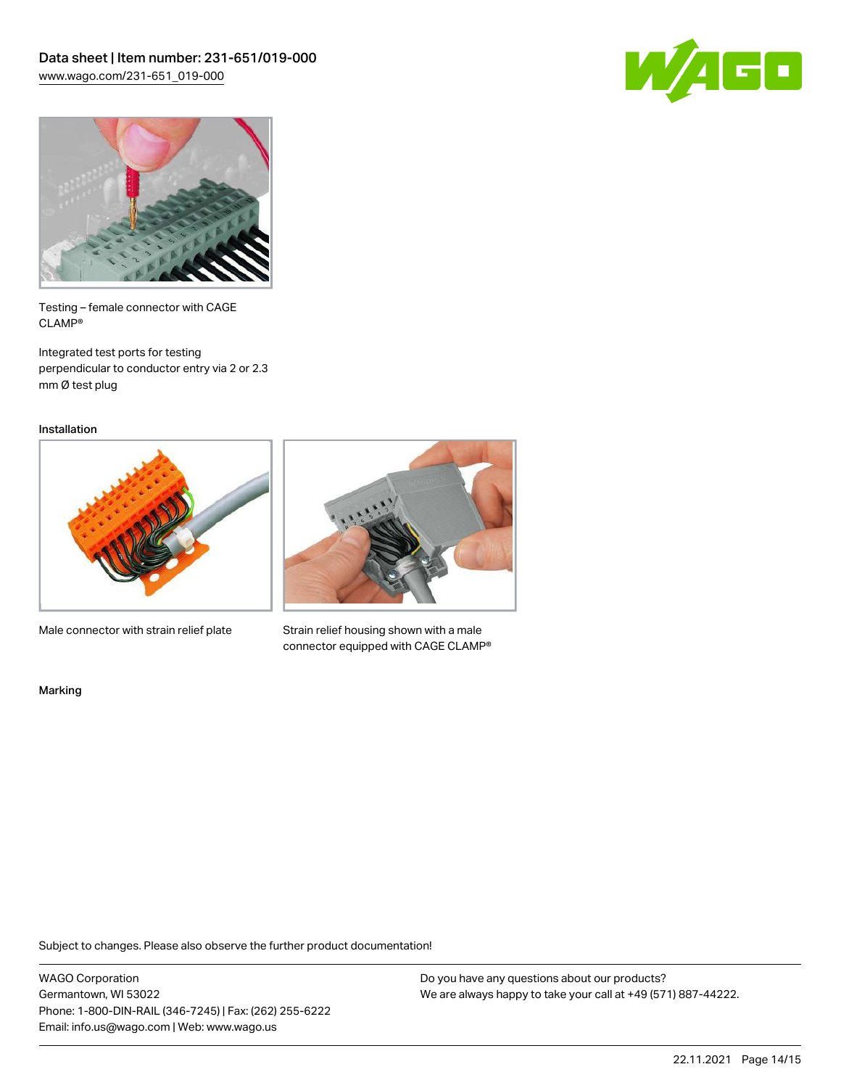



Testing – female connector with CAGE CLAMP®

Integrated test ports for testing perpendicular to conductor entry via 2 or 2.3 mm Ø test plug

Installation



Male connector with strain relief plate



Strain relief housing shown with a male connector equipped with CAGE CLAMP®

Marking

Subject to changes. Please also observe the further product documentation!

WAGO Corporation Germantown, WI 53022 Phone: 1-800-DIN-RAIL (346-7245) | Fax: (262) 255-6222 Email: info.us@wago.com | Web: www.wago.us